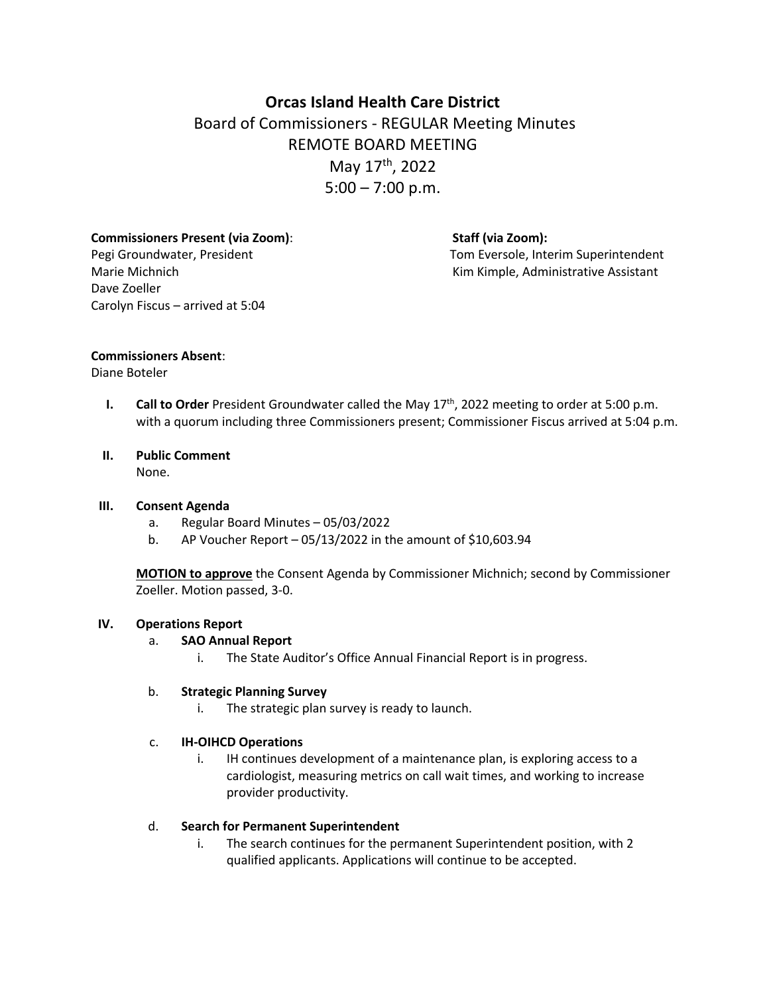# **Orcas Island Health Care District** Board of Commissioners - REGULAR Meeting Minutes REMOTE BOARD MEETING May 17th, 2022  $5:00 - 7:00$  p.m.

**Commissioners Present (via Zoom)**: **Staff (via Zoom):** Dave Zoeller Carolyn Fiscus – arrived at 5:04

Pegi Groundwater, President Tom Eversole, Interim Superintendent Marie Michnich **Kimmers Assistant** Kim Kimple, Administrative Assistant

#### **Commissioners Absent**:

#### Diane Boteler

**I. Call to Order** President Groundwater called the May 17<sup>th</sup>, 2022 meeting to order at 5:00 p.m. with a quorum including three Commissioners present; Commissioner Fiscus arrived at 5:04 p.m.

# **II. Public Comment**

None.

#### **III. Consent Agenda**

- a. Regular Board Minutes 05/03/2022
- b. AP Voucher Report  $-05/13/2022$  in the amount of \$10,603.94

**MOTION to approve** the Consent Agenda by Commissioner Michnich; second by Commissioner Zoeller. Motion passed, 3-0.

### **IV. Operations Report**

- a. **SAO Annual Report**
	- i. The State Auditor's Office Annual Financial Report is in progress.

### b. **Strategic Planning Survey**

i. The strategic plan survey is ready to launch.

### c. **IH-OIHCD Operations**

i. IH continues development of a maintenance plan, is exploring access to a cardiologist, measuring metrics on call wait times, and working to increase provider productivity.

### d. **Search for Permanent Superintendent**

i. The search continues for the permanent Superintendent position, with 2 qualified applicants. Applications will continue to be accepted.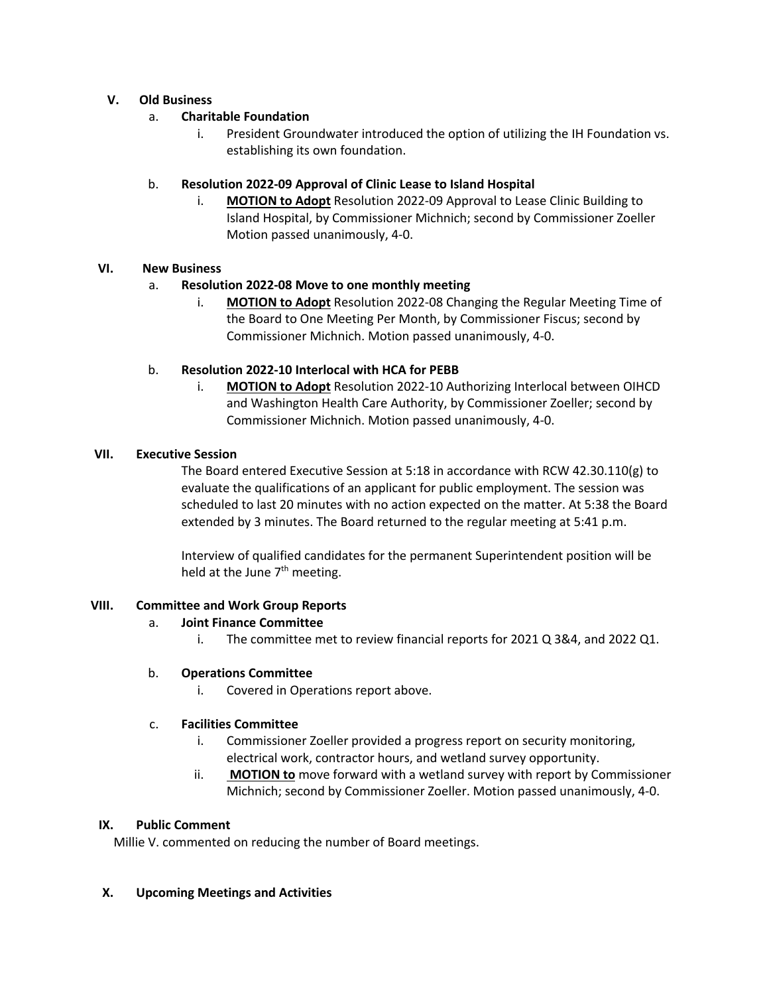## **V. Old Business**

## a. **Charitable Foundation**

i. President Groundwater introduced the option of utilizing the IH Foundation vs. establishing its own foundation.

## b. **Resolution 2022-09 Approval of Clinic Lease to Island Hospital**

i. **MOTION to Adopt** Resolution 2022-09 Approval to Lease Clinic Building to Island Hospital, by Commissioner Michnich; second by Commissioner Zoeller Motion passed unanimously, 4-0.

# **VI. New Business**

# a. **Resolution 2022-08 Move to one monthly meeting**

i. **MOTION to Adopt** Resolution 2022-08 Changing the Regular Meeting Time of the Board to One Meeting Per Month, by Commissioner Fiscus; second by Commissioner Michnich. Motion passed unanimously, 4-0.

## b. **Resolution 2022-10 Interlocal with HCA for PEBB**

i. **MOTION to Adopt** Resolution 2022-10 Authorizing Interlocal between OIHCD and Washington Health Care Authority, by Commissioner Zoeller; second by Commissioner Michnich. Motion passed unanimously, 4-0.

### **VII. Executive Session**

The Board entered Executive Session at 5:18 in accordance with RCW 42.30.110(g) to evaluate the qualifications of an applicant for public employment. The session was scheduled to last 20 minutes with no action expected on the matter. At 5:38 the Board extended by 3 minutes. The Board returned to the regular meeting at 5:41 p.m.

Interview of qualified candidates for the permanent Superintendent position will be held at the June  $7<sup>th</sup>$  meeting.

### **VIII. Committee and Work Group Reports**

### a. **Joint Finance Committee**

i. The committee met to review financial reports for 2021 Q 3&4, and 2022 Q1.

### b. **Operations Committee**

i. Covered in Operations report above.

### c. **Facilities Committee**

- i. Commissioner Zoeller provided a progress report on security monitoring, electrical work, contractor hours, and wetland survey opportunity.
- ii. **MOTION to** move forward with a wetland survey with report by Commissioner Michnich; second by Commissioner Zoeller. Motion passed unanimously, 4-0.

### **IX. Public Comment**

Millie V. commented on reducing the number of Board meetings.

### **X. Upcoming Meetings and Activities**